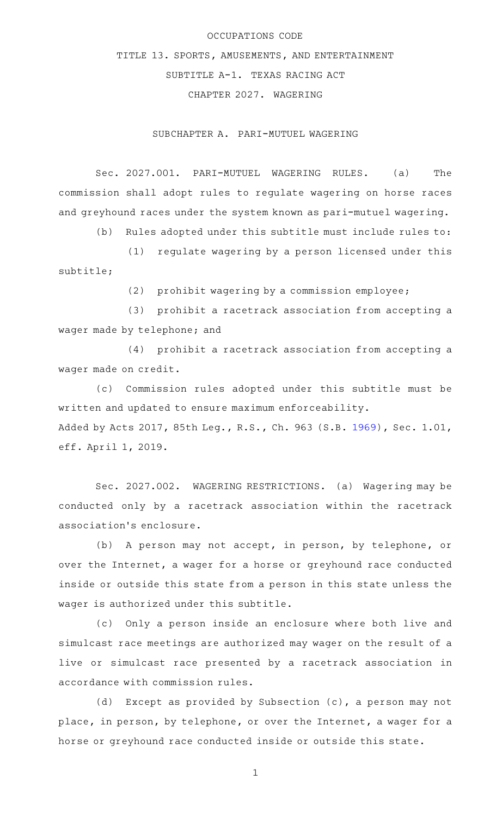## OCCUPATIONS CODE

TITLE 13. SPORTS, AMUSEMENTS, AND ENTERTAINMENT SUBTITLE A-1. TEXAS RACING ACT CHAPTER 2027. WAGERING

SUBCHAPTER A. PARI-MUTUEL WAGERING

Sec. 2027.001. PARI-MUTUEL WAGERING RULES. (a) The commission shall adopt rules to regulate wagering on horse races and greyhound races under the system known as pari-mutuel wagering.

(b) Rules adopted under this subtitle must include rules to:

(1) regulate wagering by a person licensed under this subtitle;

 $(2)$  prohibit wagering by a commission employee;

(3) prohibit a racetrack association from accepting a wager made by telephone; and

(4) prohibit a racetrack association from accepting a wager made on credit.

(c) Commission rules adopted under this subtitle must be written and updated to ensure maximum enforceability. Added by Acts 2017, 85th Leg., R.S., Ch. 963 (S.B. [1969](http://www.legis.state.tx.us/tlodocs/85R/billtext/html/SB01969F.HTM)), Sec. 1.01, eff. April 1, 2019.

Sec. 2027.002. WAGERING RESTRICTIONS. (a) Wagering may be conducted only by a racetrack association within the racetrack association 's enclosure.

(b) A person may not accept, in person, by telephone, or over the Internet, a wager for a horse or greyhound race conducted inside or outside this state from a person in this state unless the wager is authorized under this subtitle.

(c) Only a person inside an enclosure where both live and simulcast race meetings are authorized may wager on the result of a live or simulcast race presented by a racetrack association in accordance with commission rules.

(d) Except as provided by Subsection  $(c)$ , a person may not place, in person, by telephone, or over the Internet, a wager for a horse or greyhound race conducted inside or outside this state.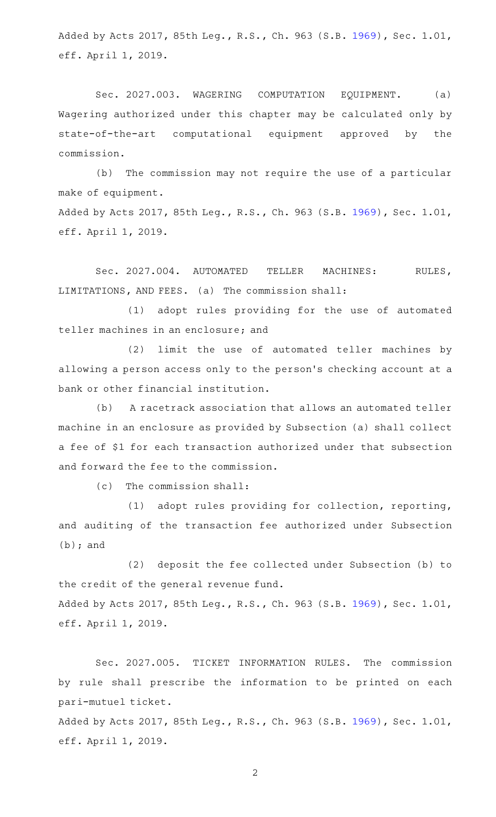Added by Acts 2017, 85th Leg., R.S., Ch. 963 (S.B. [1969](http://www.legis.state.tx.us/tlodocs/85R/billtext/html/SB01969F.HTM)), Sec. 1.01, eff. April 1, 2019.

Sec. 2027.003. WAGERING COMPUTATION EQUIPMENT. (a) Wagering authorized under this chapter may be calculated only by state-of-the-art computational equipment approved by the commission.

(b) The commission may not require the use of a particular make of equipment. Added by Acts 2017, 85th Leg., R.S., Ch. 963 (S.B. [1969](http://www.legis.state.tx.us/tlodocs/85R/billtext/html/SB01969F.HTM)), Sec. 1.01, eff. April 1, 2019.

Sec. 2027.004. AUTOMATED TELLER MACHINES: RULES, LIMITATIONS, AND FEES. (a) The commission shall:

(1) adopt rules providing for the use of automated teller machines in an enclosure; and

(2) limit the use of automated teller machines by allowing a person access only to the person 's checking account at a bank or other financial institution.

(b) A racetrack association that allows an automated teller machine in an enclosure as provided by Subsection (a) shall collect a fee of \$1 for each transaction authorized under that subsection and forward the fee to the commission.

 $(c)$  The commission shall:

(1) adopt rules providing for collection, reporting, and auditing of the transaction fee authorized under Subsection (b); and

(2) deposit the fee collected under Subsection (b) to the credit of the general revenue fund. Added by Acts 2017, 85th Leg., R.S., Ch. 963 (S.B. [1969](http://www.legis.state.tx.us/tlodocs/85R/billtext/html/SB01969F.HTM)), Sec. 1.01, eff. April 1, 2019.

Sec. 2027.005. TICKET INFORMATION RULES. The commission by rule shall prescribe the information to be printed on each pari-mutuel ticket. Added by Acts 2017, 85th Leg., R.S., Ch. 963 (S.B. [1969](http://www.legis.state.tx.us/tlodocs/85R/billtext/html/SB01969F.HTM)), Sec. 1.01,

eff. April 1, 2019.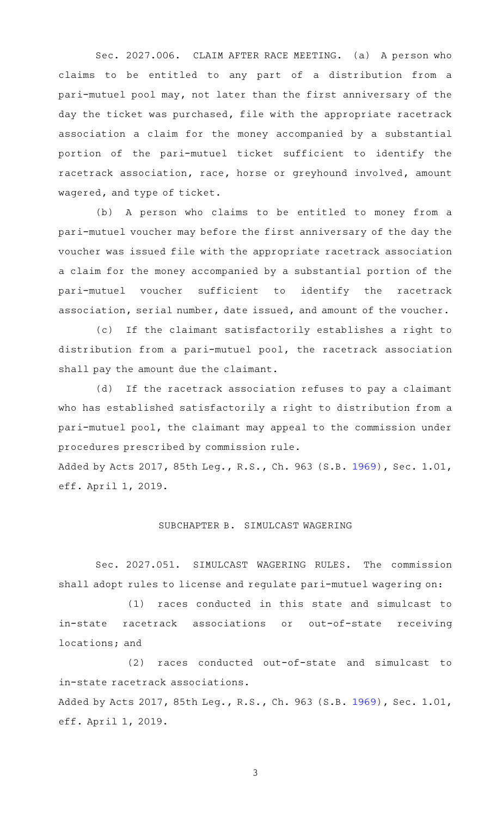Sec. 2027.006. CLAIM AFTER RACE MEETING. (a) A person who claims to be entitled to any part of a distribution from a pari-mutuel pool may, not later than the first anniversary of the day the ticket was purchased, file with the appropriate racetrack association a claim for the money accompanied by a substantial portion of the pari-mutuel ticket sufficient to identify the racetrack association, race, horse or greyhound involved, amount wagered, and type of ticket.

(b) A person who claims to be entitled to money from a pari-mutuel voucher may before the first anniversary of the day the voucher was issued file with the appropriate racetrack association a claim for the money accompanied by a substantial portion of the pari-mutuel voucher sufficient to identify the racetrack association, serial number, date issued, and amount of the voucher.

(c) If the claimant satisfactorily establishes a right to distribution from a pari-mutuel pool, the racetrack association shall pay the amount due the claimant.

(d) If the racetrack association refuses to pay a claimant who has established satisfactorily a right to distribution from a pari-mutuel pool, the claimant may appeal to the commission under procedures prescribed by commission rule.

Added by Acts 2017, 85th Leg., R.S., Ch. 963 (S.B. [1969](http://www.legis.state.tx.us/tlodocs/85R/billtext/html/SB01969F.HTM)), Sec. 1.01, eff. April 1, 2019.

## SUBCHAPTER B. SIMULCAST WAGERING

Sec. 2027.051. SIMULCAST WAGERING RULES. The commission shall adopt rules to license and regulate pari-mutuel wagering on:

(1) races conducted in this state and simulcast to in-state racetrack associations or out-of-state receiving locations; and

(2) races conducted out-of-state and simulcast to in-state racetrack associations. Added by Acts 2017, 85th Leg., R.S., Ch. 963 (S.B. [1969](http://www.legis.state.tx.us/tlodocs/85R/billtext/html/SB01969F.HTM)), Sec. 1.01, eff. April 1, 2019.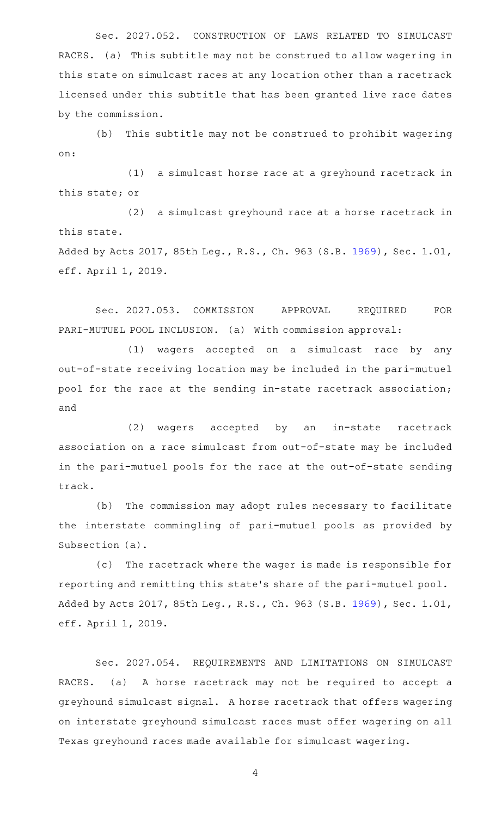Sec. 2027.052. CONSTRUCTION OF LAWS RELATED TO SIMULCAST RACES. (a) This subtitle may not be construed to allow wagering in this state on simulcast races at any location other than a racetrack licensed under this subtitle that has been granted live race dates by the commission.

(b) This subtitle may not be construed to prohibit wagering on:

(1) a simulcast horse race at a greyhound racetrack in this state; or

(2) a simulcast greyhound race at a horse racetrack in this state.

Added by Acts 2017, 85th Leg., R.S., Ch. 963 (S.B. [1969](http://www.legis.state.tx.us/tlodocs/85R/billtext/html/SB01969F.HTM)), Sec. 1.01, eff. April 1, 2019.

Sec. 2027.053. COMMISSION APPROVAL REQUIRED FOR PARI-MUTUEL POOL INCLUSION. (a) With commission approval:

(1) wagers accepted on a simulcast race by any out-of-state receiving location may be included in the pari-mutuel pool for the race at the sending in-state racetrack association; and

(2) wagers accepted by an in-state racetrack association on a race simulcast from out-of-state may be included in the pari-mutuel pools for the race at the out-of-state sending track.

(b) The commission may adopt rules necessary to facilitate the interstate commingling of pari-mutuel pools as provided by Subsection (a).

(c) The racetrack where the wager is made is responsible for reporting and remitting this state 's share of the pari-mutuel pool. Added by Acts 2017, 85th Leg., R.S., Ch. 963 (S.B. [1969](http://www.legis.state.tx.us/tlodocs/85R/billtext/html/SB01969F.HTM)), Sec. 1.01, eff. April 1, 2019.

Sec. 2027.054. REQUIREMENTS AND LIMITATIONS ON SIMULCAST RACES. (a) A horse racetrack may not be required to accept a greyhound simulcast signal. A horse racetrack that offers wagering on interstate greyhound simulcast races must offer wagering on all Texas greyhound races made available for simulcast wagering.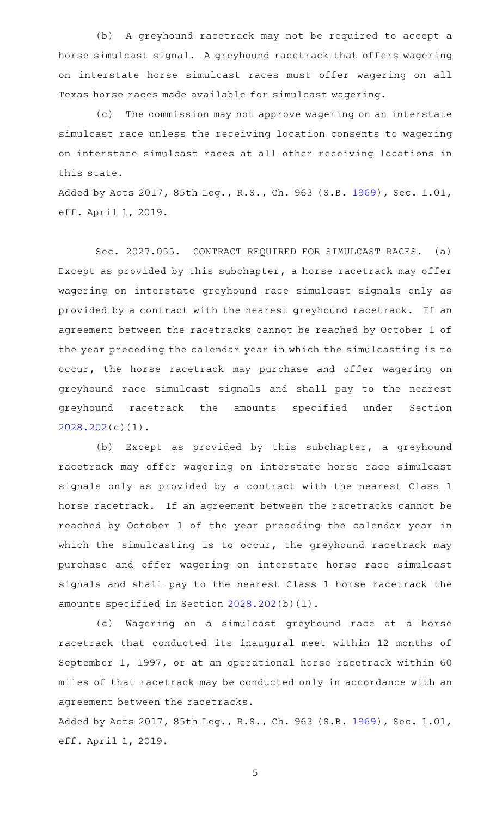(b) A greyhound racetrack may not be required to accept a horse simulcast signal. A greyhound racetrack that offers wagering on interstate horse simulcast races must offer wagering on all Texas horse races made available for simulcast wagering.

(c) The commission may not approve wagering on an interstate simulcast race unless the receiving location consents to wagering on interstate simulcast races at all other receiving locations in this state.

Added by Acts 2017, 85th Leg., R.S., Ch. 963 (S.B. [1969](http://www.legis.state.tx.us/tlodocs/85R/billtext/html/SB01969F.HTM)), Sec. 1.01, eff. April 1, 2019.

Sec. 2027.055. CONTRACT REQUIRED FOR SIMULCAST RACES. (a) Except as provided by this subchapter, a horse racetrack may offer wagering on interstate greyhound race simulcast signals only as provided by a contract with the nearest greyhound racetrack. If an agreement between the racetracks cannot be reached by October 1 of the year preceding the calendar year in which the simulcasting is to occur, the horse racetrack may purchase and offer wagering on greyhound race simulcast signals and shall pay to the nearest greyhound racetrack the amounts specified under Section [2028.202](http://www.statutes.legis.state.tx.us/GetStatute.aspx?Code=OC&Value=2028.202)(c)(1).

(b) Except as provided by this subchapter, a greyhound racetrack may offer wagering on interstate horse race simulcast signals only as provided by a contract with the nearest Class 1 horse racetrack. If an agreement between the racetracks cannot be reached by October 1 of the year preceding the calendar year in which the simulcasting is to occur, the greyhound racetrack may purchase and offer wagering on interstate horse race simulcast signals and shall pay to the nearest Class 1 horse racetrack the amounts specified in Section [2028.202](http://www.statutes.legis.state.tx.us/GetStatute.aspx?Code=OC&Value=2028.202)(b)(1).

(c) Wagering on a simulcast greyhound race at a horse racetrack that conducted its inaugural meet within 12 months of September 1, 1997, or at an operational horse racetrack within 60 miles of that racetrack may be conducted only in accordance with an agreement between the racetracks.

Added by Acts 2017, 85th Leg., R.S., Ch. 963 (S.B. [1969](http://www.legis.state.tx.us/tlodocs/85R/billtext/html/SB01969F.HTM)), Sec. 1.01, eff. April 1, 2019.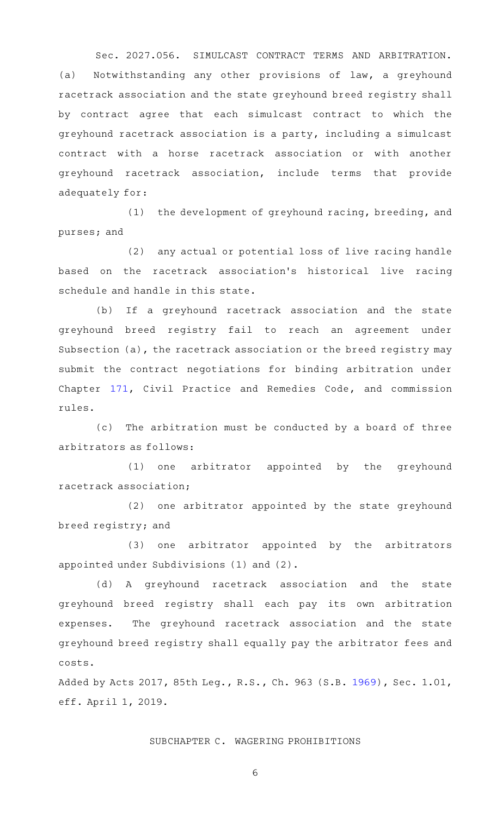Sec. 2027.056. SIMULCAST CONTRACT TERMS AND ARBITRATION. (a) Notwithstanding any other provisions of law, a greyhound racetrack association and the state greyhound breed registry shall by contract agree that each simulcast contract to which the greyhound racetrack association is a party, including a simulcast contract with a horse racetrack association or with another greyhound racetrack association, include terms that provide adequately for:

(1) the development of greyhound racing, breeding, and purses; and

(2) any actual or potential loss of live racing handle based on the racetrack association 's historical live racing schedule and handle in this state.

(b) If a greyhound racetrack association and the state greyhound breed registry fail to reach an agreement under Subsection (a), the racetrack association or the breed registry may submit the contract negotiations for binding arbitration under Chapter [171](http://www.statutes.legis.state.tx.us/GetStatute.aspx?Code=CP&Value=171), Civil Practice and Remedies Code, and commission rules.

(c) The arbitration must be conducted by a board of three arbitrators as follows:

(1) one arbitrator appointed by the greyhound racetrack association;

(2) one arbitrator appointed by the state greyhound breed registry; and

(3) one arbitrator appointed by the arbitrators appointed under Subdivisions (1) and (2).

(d)AAA greyhound racetrack association and the state greyhound breed registry shall each pay its own arbitration expenses. The greyhound racetrack association and the state greyhound breed registry shall equally pay the arbitrator fees and costs.

Added by Acts 2017, 85th Leg., R.S., Ch. 963 (S.B. [1969](http://www.legis.state.tx.us/tlodocs/85R/billtext/html/SB01969F.HTM)), Sec. 1.01, eff. April 1, 2019.

## SUBCHAPTER C. WAGERING PROHIBITIONS